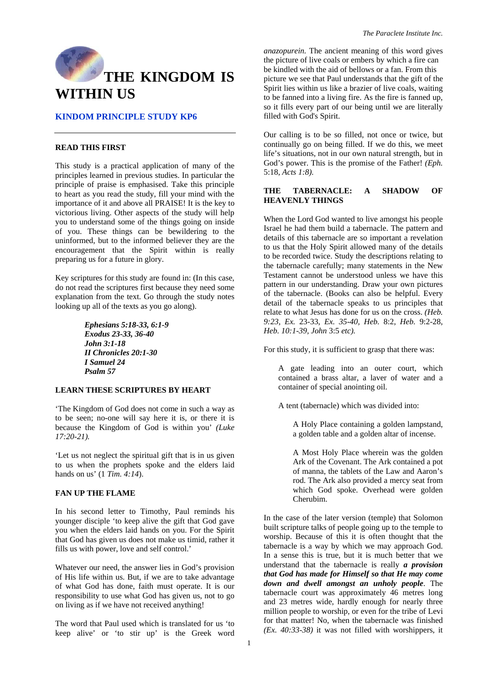# **KINDOM PRINCIPLE STUDY KP6**

## **READ THIS FIRST**

This study is a practical application of many of the principles learned in previous studies. In particular the principle of praise is emphasised. Take this principle to heart as you read the study, fill your mind with the importance of it and above all PRAISE! It is the key to victorious living. Other aspects of the study will help you to understand some of the things going on inside of you. These things can be bewildering to the uninformed, but to the informed believer they are the encouragement that the Spirit within is really preparing us for a future in glory.

Key scriptures for this study are found in: (In this case, do not read the scriptures first because they need some explanation from the text. Go through the study notes looking up all of the texts as you go along).

> *Ephesians 5:18-33, 6:1-9 Exodus 23-33, 36-40 John 3:1-18 II Chronicles 20:1-30 I Samuel 24 Psalm 57*

## **LEARN THESE SCRIPTURES BY HEART**

'The Kingdom of God does not come in such a way as to be seen; no-one will say here it is, or there it is because the Kingdom of God is within you' *(Luke 17:20-21).* 

'Let us not neglect the spiritual gift that is in us given to us when the prophets spoke and the elders laid hands on us' (1 *Tim. 4:14*).

# **FAN UP THE FLAME**

In his second letter to Timothy, Paul reminds his younger disciple 'to keep alive the gift that God gave you when the elders laid hands on you. For the Spirit that God has given us does not make us timid, rather it fills us with power, love and self control.'

Whatever our need, the answer lies in God's provision of His life within us. But, if we are to take advantage of what God has done, faith must operate. It is our responsibility to use what God has given us, not to go on living as if we have not received anything!

The word that Paul used which is translated for us 'to keep alive' or 'to stir up' is the Greek word *anazopurein.* The ancient meaning of this word gives the picture of live coals or embers by which a fire can be kindled with the aid of bellows or a fan. From this picture we see that Paul understands that the gift of the Spirit lies within us like a brazier of live coals, waiting to be fanned into a living fire. As the fire is fanned up, so it fills every part of our being until we are literally filled with God's Spirit.

Our calling is to be so filled, not once or twice, but continually go on being filled. If we do this, we meet life's situations, not in our own natural strength, but in God's power. This is the promise of the Father! *(Eph.*  5:18, *Acts 1:8).* 

## **THE TABERNACLE: A SHADOW OF HEAVENLY THINGS**

When the Lord God wanted to live amongst his people Israel he had them build a tabernacle. The pattern and details of this tabernacle are so important a revelation to us that the Holy Spirit allowed many of the details to be recorded twice. Study the descriptions relating to the tabernacle carefully; many statements in the New Testament cannot be understood unless we have this pattern in our understanding. Draw your own pictures of the tabernacle. (Books can also be helpful. Every detail of the tabernacle speaks to us principles that relate to what Jesus has done for us on the cross. *(Heb. 9:23, Ex.* 23-33, *Ex. 35-40, Heb.* 8:2, *Heb.* 9:2-28, *Heb. 10:1-39, John* 3:5 *etc).* 

For this study, it is sufficient to grasp that there was:

A gate leading into an outer court, which contained a brass altar, a laver of water and a container of special anointing oil.

A tent (tabernacle) which was divided into:

A Holy Place containing a golden lampstand, a golden table and a golden altar of incense.

A Most Holy Place wherein was the golden Ark of the Covenant. The Ark contained a pot of manna, the tablets of the Law and Aaron's rod. The Ark also provided a mercy seat from which God spoke. Overhead were golden Cherubim.

In the case of the later version (temple) that Solomon built scripture talks of people going up to the temple to worship. Because of this it is often thought that the tabernacle is a way by which we may approach God. In a sense this is true, but it is much better that we understand that the tabernacle is really *a provision that God has made for Himself so that He may come down and dwell amongst an unholy people*. The tabernacle court was approximately 46 metres long and 23 metres wide, hardly enough for nearly three million people to worship, or even for the tribe of Levi for that matter! No, when the tabernacle was finished *(Ex. 40:33-38)* it was not filled with worshippers, it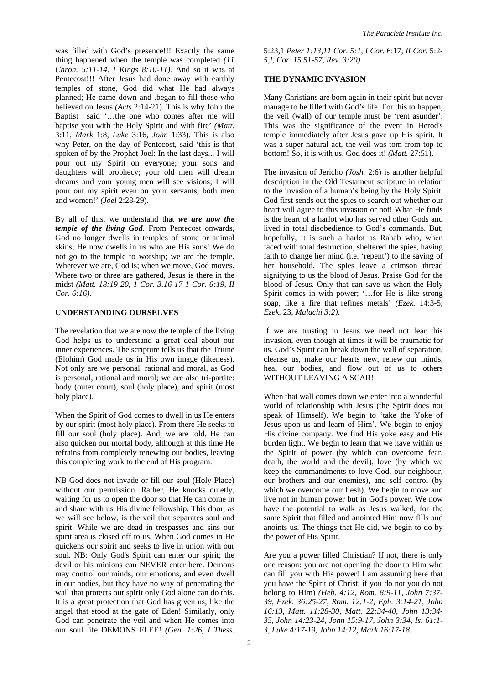was filled with God's presence!!! Exactly the same thing happened when the temple was completed *(11 Chron. 5:11-14. I Kings 8:10-11).* And so it was at Pentecost!!! After Jesus had done away with earthly temples of stone, God did what He had always planned; He came down and .began to fill those who believed on Jesus *(Acts* 2:14-21). This is why John the Baptist said '…the one who comes after me will baptise you with the Holy Spirit and with fire' *(Matt.*  3:11, *Mark* 1:8, *Luke* 3:16, *John* 1:33). This is also why Peter, on the day of Pentecost, said 'this is that spoken of by the Prophet Joel: In the last days... I will pour out my Spirit on everyone; your sons and daughters will prophecy; your old men will dream dreams and your young men will see visions; I will pour out my spirit even on your servants, both men and women!' *(Joel* 2:28-29).

By all of this, we understand that *we are now the temple of the living God*. From Pentecost onwards, God no longer dwells in temples of stone or animal skins; He now dwells in us who are His sons! We do not go to the temple to worship; we are the temple. Wherever we are, God is; when we move, God moves. Where two or three are gathered, Jesus is there in the midst *(Matt. 18:19-20, 1 Cor. 3.16-17 1 Cor. 6:19, II Cor. 6:16)*.

# **UNDERSTANDING OURSELVES**

The revelation that we are now the temple of the living God helps us to understand a great deal about our inner experiences. The scripture tells us that the Triune (Elohim) God made us in His own image (likeness). Not only are we personal, rational and moral, as God is personal, rational and moral; we are also tri-partite: body (outer court), soul (holy place), and spirit (most holy place).

When the Spirit of God comes to dwell in us He enters by our spirit (most holy place). From there He seeks to fill our soul (holy place). And, we are told, He can also quicken our mortal body, although at this time He refrains from completely renewing our bodies, leaving this completing work to the end of His program.

NB God does not invade or fill our soul (Holy Place) without our permission. Rather, He knocks quietly, waiting for us to open the door so that He can come in and share with us His divine fellowship. This door, as we will see below, is the veil that separates soul and spirit. While we are dead in trespasses and sins our spirit area is closed off to us. When God comes in He quickens our spirit and seeks to live in union with our soul. NB: Only God's Spirit can enter our spirit; the devil or his minions can NEVER enter here. Demons may control our minds, our emotions, and even dwell in our bodies, but they have no way of penetrating the wall that protects our spirit only God alone can do this. It is a great protection that God has given us, like the angel that stood at the gate of Eden! Similarly, only God can penetrate the veil and when He comes into our soul life DEMONS FLEE! *(Gen. 1:26, I Thess.* 

5:23,1 *Peter 1:13,11 Cor. 5:1, I Cor.* 6:17, *II Cor.* 5:2- *5,I, Cor. 15.51-57, Rev. 3:20).* 

# **THE DYNAMIC INVASION**

Many Christians are born again in their spirit but never manage to be filled with God's life. For this to happen, the veil (wall) of our temple must be 'rent asunder'. This was the significance of the event in Herod's temple immediately after Jesus gave up His spirit. It was a super-natural act, the veil was tom from top to bottom! So, it is with us. God does it! *(Matt.* 27:51).

The invasion of Jericho *(Josh.* 2:6) is another helpful description in the Old Testament scripture in relation to the invasion of a human's being by the Holy Spirit. God first sends out the spies to search out whether our heart will agree to this invasion or not! What He finds is the heart of a harlot who has served other Gods and lived in total disobedience to God's commands. But, hopefully, it is such a harlot as Rahab who, when faced with total destruction, sheltered the spies, having faith to change her mind (i.e. 'repent') to the saving of her household. The spies leave a crimson thread signifying to us the blood of Jesus. Praise God for the blood of Jesus. Only that can save us when the Holy Spirit comes in with power; '…for He is like strong soap, like a fire that refines metals' *(Ezek.* 14:3-5, *Ezek.* 23, *Malachi 3:2).* 

If we are trusting in Jesus we need not fear this invasion, even though at times it will be traumatic for us. God's Spirit can break down the wall of separation, cleanse us, make our hearts new, renew our minds, heal our bodies, and flow out of us to others WITHOUT LEAVING A SCAR!

When that wall comes down we enter into a wonderful world of relationship with Jesus (the Spirit does not speak of Himself). We begin to 'take the Yoke of Jesus upon us and learn of Him'. We begin to enjoy His divine company. We find His yoke easy and His burden light. We begin to learn that we have within us the Spirit of power (by which can overcome fear, death, the world and the devil), love (by which we keep the commandments to love God, our neighbour, our brothers and our enemies), and self control (by which we overcome our flesh). We begin to move and live not in human power but in God's power. We now have the potential to walk as Jesus walked, for the same Spirit that filled and anointed Him now fills and anoints us. The things that He did, we begin to do by the power of His Spirit.

Are you a power filled Christian? If not, there is only one reason: you are not opening the door to Him who can fill you with His power! I am assuming here that you have the Spirit of Christ; if you do not you do not belong to Him) *(Heb. 4:12, Rom. 8:9-11, John 7:37- 39, Ezek. 36:25-27, Rom. 12:1-2, Eph. 3:14-21, John 16:13, Matt. 11:28-30, Matt. 22:34-40, John 13:34- 35, John 14:23-24, John 15:9-17, John 3:34, Is. 61:1- 3, Luke 4:17-19, John 14:12, Mark 16:17-18.*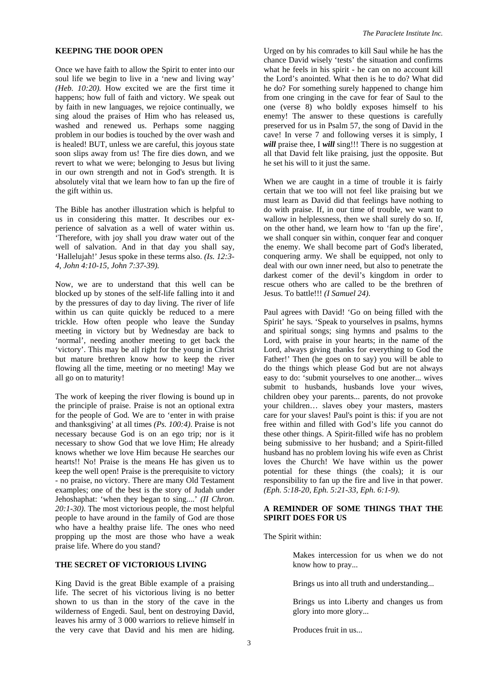#### **KEEPING THE DOOR OPEN**

Once we have faith to allow the Spirit to enter into our soul life we begin to live in a 'new and living way' *(Heb. 10:20).* How excited we are the first time it happens; how full of faith and victory. We speak out by faith in new languages, we rejoice continually, we sing aloud the praises of Him who has released us, washed and renewed us. Perhaps some nagging problem in our bodies is touched by the over wash and is healed! BUT, unless we are careful, this joyous state soon slips away from us! The fire dies down, and we revert to what we were; belonging to Jesus but living in our own strength and not in God's strength. It is absolutely vital that we learn how to fan up the fire of the gift within us.

The Bible has another illustration which is helpful to us in considering this matter. It describes our experience of salvation as a well of water within us. 'Therefore, with joy shall you draw water out of the well of salvation. And in that day you shall say, 'Hallelujah!' Jesus spoke in these terms also. *(Is. 12:3- 4, John 4:10-15, John 7:37-39).* 

Now, we are to understand that this well can be blocked up by stones of the self-life falling into it and by the pressures of day to day living. The river of life within us can quite quickly be reduced to a mere trickle. How often people who leave the Sunday meeting in victory but by Wednesday are back to 'normal', needing another meeting to get back the 'victory'. This may be all right for the young in Christ but mature brethren know how to keep the river flowing all the time, meeting or no meeting! May we all go on to maturity!

The work of keeping the river flowing is bound up in the principle of praise. Praise is not an optional extra for the people of God. We are to 'enter in with praise and thanksgiving' at all times *(Ps. 100:4)*. Praise is not necessary because God is on an ego trip; nor is it necessary to show God that we love Him; He already knows whether we love Him because He searches our hearts!! No! Praise is the means He has given us to keep the well open! Praise is the prerequisite to victory - no praise, no victory. There are many Old Testament examples; one of the best is the story of Judah under Jehoshaphat: 'when they began to sing....' *(II Chron. 20:1-30).* The most victorious people, the most helpful people to have around in the family of God are those who have a healthy praise life. The ones who need propping up the most are those who have a weak praise life. Where do you stand?

# **THE SECRET OF VICTORIOUS LIVING**

King David is the great Bible example of a praising life. The secret of his victorious living is no better shown to us than in the story of the cave in the wilderness of Engedi. Saul, bent on destroying David, leaves his army of 3 000 warriors to relieve himself in the very cave that David and his men are hiding.

Urged on by his comrades to kill Saul while he has the chance David wisely 'tests' the situation and confirms what he feels in his spirit - he can on no account kill the Lord's anointed. What then is he to do? What did he do? For something surely happened to change him from one cringing in the cave for fear of Saul to the one (verse 8) who boldly exposes himself to his enemy! The answer to these questions is carefully preserved for us in Psalm 57, the song of David in the cave! In verse 7 and following verses it is simply, I *will* praise thee, I *will* sing!!! There is no suggestion at all that David felt like praising, just the opposite. But he set his will to it just the same.

When we are caught in a time of trouble it is fairly certain that we too will not feel like praising but we must learn as David did that feelings have nothing to do with praise. If, in our time of trouble, we want to wallow in helplessness, then we shall surely do so. If, on the other hand, we learn how to 'fan up the fire', we shall conquer sin within, conquer fear and conquer the enemy. We shall become part of God's liberated, conquering army. We shall be equipped, not only to deal with our own inner need, but also to penetrate the darkest comer of the devil's kingdom in order to rescue others who are called to be the brethren of Jesus. To battle!!! *(I Samuel 24)*.

Paul agrees with David! 'Go on being filled with the Spirit' he says. 'Speak to yourselves in psalms, hymns and spiritual songs; sing hymns and psalms to the Lord, with praise in your hearts; in the name of the Lord, always giving thanks for everything to God the Father!' Then (he goes on to say) you will be able to do the things which please God but are not always easy to do: 'submit yourselves to one another... wives submit to husbands, husbands love your wives, children obey your parents... parents, do not provoke your children… slaves obey your masters, masters care for your slaves! Paul's point is this: if you are not free within and filled with God's life you cannot do these other things. A Spirit-filled wife has no problem being submissive to her husband; and a Spirit-filled husband has no problem loving his wife even as Christ loves the Church! We have within us the power potential for these things (the coals); it is our responsibility to fan up the fire and live in that power. *(Eph. 5:18-20, Eph. 5:21-33, Eph. 6:1-9)*.

## **A REMINDER OF SOME THINGS THAT THE SPIRIT DOES FOR US**

The Spirit within:

Makes intercession for us when we do not know how to pray...

Brings us into all truth and understanding...

Brings us into Liberty and changes us from glory into more glory...

Produces fruit in us...